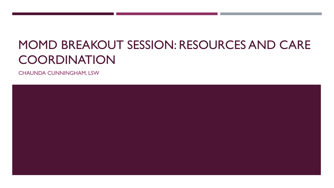# MOMD BREAKOUT SESSION: RESOURCES AND CARE **COORDINATION**

CHAUNDA CUNNINGHAM, LSW

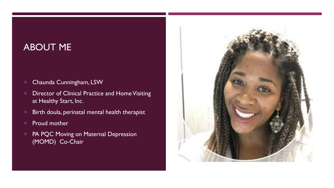#### ABOUT ME

- **E** Chaunda Cunningham, LSW
- **Director of Clinical Practice and Home Visiting** at Healthy Start, Inc.
- **Birth doula, perinatal mental health therapist**
- **Proud mother**
- **PA PQC Moving on Maternal Depression** (MOMD) Co-Chair

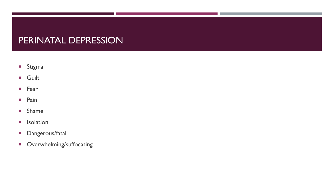#### PERINATAL DEPRESSION

- **Stigma**
- **Guilt**
- **Fear**
- **Pain**
- **Shame**
- **I**solation
- **Dangerous/fatal**
- **C**verwhelming/suffocating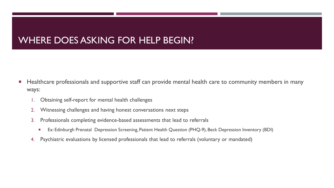#### WHERE DOES ASKING FOR HELP BEGIN?

- **Healthcare professionals and supportive staff can provide mental health care to community members in many** ways:
	- 1. Obtaining self-report for mental health challenges
	- 2. Witnessing challenges and having honest conversations next steps
	- 3. Professionals completing evidence-based assessments that lead to referrals
		- Ex: Edinburgh Prenatal Depression Screening, Patient Health Question (PHQ-9), Beck Depression Inventory (BDI)
	- 4. Psychiatric evaluations by licensed professionals that lead to referrals (voluntary or mandated)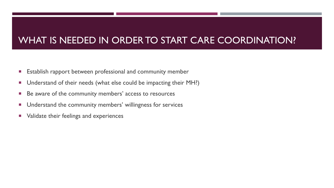## WHAT IS NEEDED IN ORDER TO START CARE COORDINATION?

- **Establish rapport between professional and community member**
- Understand of their needs (what else could be impacting their MH?)
- Be aware of the community members' access to resources
- **Understand the community members' willingness for services**
- **Number** Validate their feelings and experiences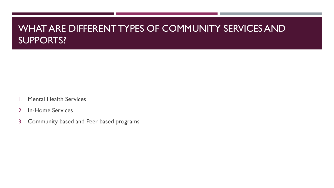#### WHAT ARE DIFFERENT TYPES OF COMMUNITY SERVICES AND SUPPORTS?

- 1. Mental Health Services
- 2. In-Home Services
- 3. Community based and Peer based programs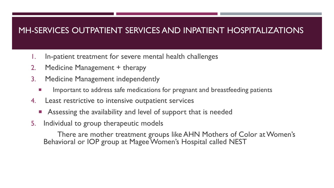#### MH-SERVICES OUTPATIENT SERVICES AND INPATIENT HOSPITALIZATIONS

- 1. In-patient treatment for severe mental health challenges
- 2. Medicine Management + therapy
- 3. Medicine Management independently
	- Important to address safe medications for pregnant and breastfeeding patients
- 4. Least restrictive to intensive outpatient services
	- **Assessing the availability and level of support that is needed**
- 5. Individual to group therapeutic models

There are mother treatment groups like AHN Mothers of Color at Women's Behavioral or IOP group at Magee Women's Hospital called NEST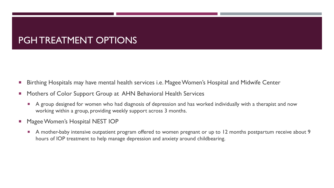#### PGH TREATMENT OPTIONS

- Birthing Hospitals may have mental health services i.e. Magee Women's Hospital and Midwife Center
- **Mothers of Color Support Group at AHN Behavioral Health Services** 
	- A group designed for women who had diagnosis of depression and has worked individually with a therapist and now working within a group, providing weekly support across 3 months.
- Magee Women's Hospital NEST IOP
	- A mother-baby intensive outpatient program offered to women pregnant or up to 12 months postpartum receive about 9 hours of IOP treatment to help manage depression and anxiety around childbearing.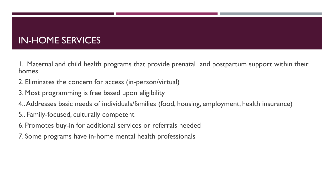#### IN-HOME SERVICES

1. Maternal and child health programs that provide prenatal and postpartum support within their homes

- 2. Eliminates the concern for access (in-person/virtual)
- 3. Most programming is free based upon eligibility
- 4.. Addresses basic needs of individuals/families (food, housing, employment, health insurance)
- 5.. Family-focused, culturally competent
- 6. Promotes buy-in for additional services or referrals needed
- 7. Some programs have in-home mental health professionals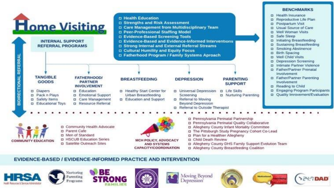

#### EVIDENCE-BASED / EVIDENCE-INFORMED PRACTICE AND INTERVENTION









Moving Beyond **Jepression** 





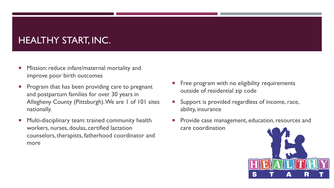## HEALTHY START, INC.

- Mission: reduce infant/maternal mortality and improve poor birth outcomes
- Program that has been providing care to pregnant and postpartum families for over 30 years in Allegheny County (Pittsburgh). We are 1 of 101 sites nationally.
- **Multi-disciplinary team: trained community health** workers, nurses, doulas, certified lactation counselors, therapists, fatherhood coordinator and more
- Free program with no eligibility requirements outside of residential zip code
- Support is provided regardless of income, race, ability, insurance
- Provide case management, education, resources and care coordination

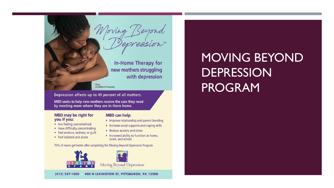

Lisa Millerick Photography

Depression affects up to 45 percent of all mothers.

MBD seeks to help new mothers receive the care they need by meeting mom where they are in there home.

#### **MBD may be right for** you if you:

- Are feeling overwhelmed
- Have difficulty concentrating
- Feel anxious, sadness, or quilt
- Feel isolated and alone

#### **MBD can help:**

- Improve relationship and parent bonding
- Increase social supports and coping skills
- Reduce anxiety and stress
- Increased ability to function at home, work, and school

70% of moms get better after completing the Moving Beyond Depression Program



 $(412)$  247-1000 400 N LEXINGTON ST, PITTSBURGH, PA 15208

# MOVING BEYOND DEPRESSION PROGRAM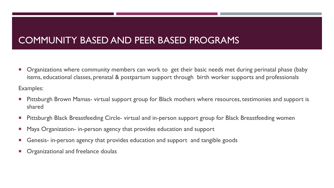### COMMUNITY BASED AND PEER BASED PROGRAMS

**•** Organizations where community members can work to get their basic needs met during perinatal phase (baby items, educational classes, prenatal & postpartum support through birth worker supports and professionals

Examples:

- **Pittsburgh Brown Mamas- virtual support group for Black mothers where resources, testimonies and support is example** shared
- Pittsburgh Black Breastfeeding Circle- virtual and in-person support group for Black Breastfeeding women
- Maya Organization- in-person agency that provides education and support
- Genesis- in-person agency that provides education and support and tangible goods
- Organizational and freelance doulas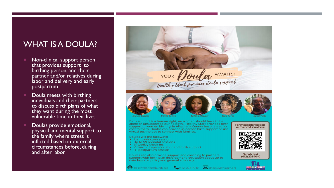#### WHAT IS A DOULA?

- Non-clinical support person that provides support to birthing person, and their partner and/or relatives during labor and delivery and early postpartum
- Doula meets with birthing individuals and their partners to discuss birth plans of what they want during the most vulnerable time in their lives
- Doulas provide emotional, physical and mental support to the family where stress is inflicted based on external circumstances before, during and after labor

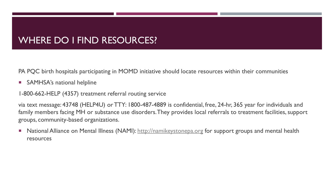### WHERE DO I FIND RESOURCES?

PA PQC birth hospitals participating in MOMD initiative should locate resources within their communities

**SAMHSA's national helpline** 

1-800-662-HELP (4357) treatment referral routing service

via text message: 43748 (HELP4U) or TTY: 1800-487-4889 is confidential, free, 24-hr, 365 year for individuals and family members facing MH or substance use disorders.They provides local referrals to treatment facilities, support groups, community-based organizations.

National Alliance on Mental Illness (NAMI): [http://namikeystonepa.org](http://namikeystonepa.org/) for support groups and mental health resources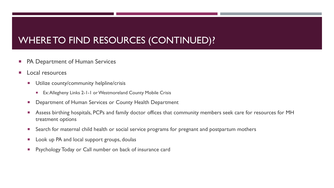## WHERE TO FIND RESOURCES (CONTINUED)?

- PA Department of Human Services
- **Local resources** 
	- **Utilize county/community helpline/crisis** 
		- Ex: Allegheny Links 2-1-1 or Westmoreland County Mobile Crisis
	- **Department of Human Services or County Health Department**
	- Assess birthing hospitals, PCPs and family doctor offices that community members seek care for resources for MH treatment options
	- **Search for maternal child health or social service programs for pregnant and postpartum mothers**
	- **Look up PA and local support groups, doulas**
	- **Psychology Today or Call number on back of insurance card**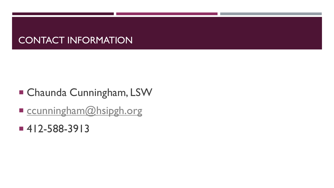### CONTACT INFORMATION

- Chaunda Cunningham, LSW
- Ccunningham@hsipgh.org
- 412-588-3913